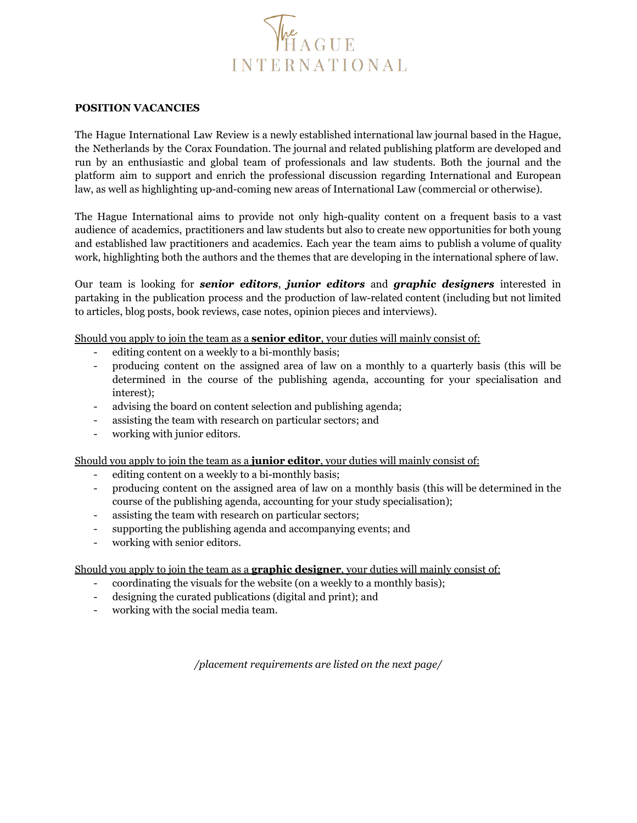

## **POSITION VACANCIES**

The Hague International Law Review is a newly established international law journal based in the Hague, the Netherlands by the Corax Foundation. The journal and related publishing platform are developed and run by an enthusiastic and global team of professionals and law students. Both the journal and the platform aim to support and enrich the professional discussion regarding International and European law, as well as highlighting up-and-coming new areas of International Law (commercial or otherwise).

The Hague International aims to provide not only high-quality content on a frequent basis to a vast audience of academics, practitioners and law students but also to create new opportunities for both young and established law practitioners and academics. Each year the team aims to publish a volume of quality work, highlighting both the authors and the themes that are developing in the international sphere of law.

Our team is looking for *senior editors*, *junior editors* and *graphic designers* interested in partaking in the publication process and the production of law-related content (including but not limited to articles, blog posts, book reviews, case notes, opinion pieces and interviews).

Should you apply to join the team as a **senior editor**, your duties will mainly consist of:

- editing content on a weekly to a bi-monthly basis;
- producing content on the assigned area of law on a monthly to a quarterly basis (this will be determined in the course of the publishing agenda, accounting for your specialisation and interest);
- advising the board on content selection and publishing agenda;
- assisting the team with research on particular sectors; and
- working with junior editors.

Should you apply to join the team as a **junior editor**, your duties will mainly consist of:

- editing content on a weekly to a bi-monthly basis;
- producing content on the assigned area of law on a monthly basis (this will be determined in the course of the publishing agenda, accounting for your study specialisation);
- assisting the team with research on particular sectors;
- supporting the publishing agenda and accompanying events; and
- working with senior editors.

Should you apply to join the team as a **graphic designer**, your duties will mainly consist of:

- coordinating the visuals for the website (on a weekly to a monthly basis);
- designing the curated publications (digital and print); and
- working with the social media team.

*/placement requirements are listed on the next page/*